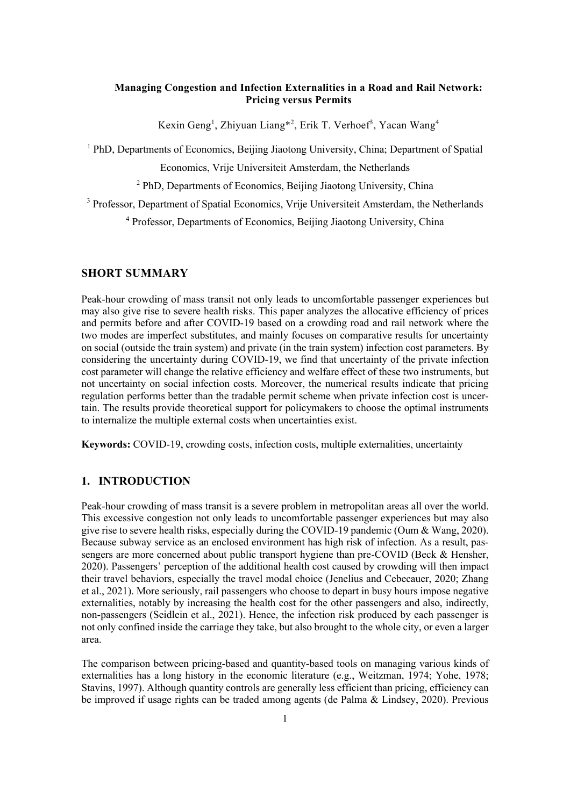# **Managing Congestion and Infection Externalities in a Road and Rail Network: Pricing versus Permits**

Kexin Geng<sup>1</sup>, Zhiyuan Liang\*<sup>2</sup>, Erik T. Verhoef<sup>3</sup>, Yacan Wang<sup>4</sup>

<sup>1</sup> PhD, Departments of Economics, Beijing Jiaotong University, China; Department of Spatial

Economics, Vrije Universiteit Amsterdam, the Netherlands

<sup>2</sup> PhD, Departments of Economics, Beijing Jiaotong University, China

<sup>3</sup> Professor, Department of Spatial Economics, Vrije Universiteit Amsterdam, the Netherlands

<sup>4</sup> Professor, Departments of Economics, Beijing Jiaotong University, China

# **SHORT SUMMARY**

Peak-hour crowding of mass transit not only leads to uncomfortable passenger experiences but may also give rise to severe health risks. This paper analyzes the allocative efficiency of prices and permits before and after COVID-19 based on a crowding road and rail network where the two modes are imperfect substitutes, and mainly focuses on comparative results for uncertainty on social (outside the train system) and private (in the train system) infection cost parameters. By considering the uncertainty during COVID-19, we find that uncertainty of the private infection cost parameter will change the relative efficiency and welfare effect of these two instruments, but not uncertainty on social infection costs. Moreover, the numerical results indicate that pricing regulation performs better than the tradable permit scheme when private infection cost is uncertain. The results provide theoretical support for policymakers to choose the optimal instruments to internalize the multiple external costs when uncertainties exist.

**Keywords:** COVID-19, crowding costs, infection costs, multiple externalities, uncertainty

# **1. INTRODUCTION**

Peak-hour crowding of mass transit is a severe problem in metropolitan areas all over the world. This excessive congestion not only leads to uncomfortable passenger experiences but may also give rise to severe health risks, especially during the COVID-19 pandemic (Oum & Wang, 2020). Because subway service as an enclosed environment has high risk of infection. As a result, passengers are more concerned about public transport hygiene than pre-COVID (Beck & Hensher, 2020). Passengers' perception of the additional health cost caused by crowding will then impact their travel behaviors, especially the travel modal choice (Jenelius and Cebecauer, 2020; Zhang et al., 2021). More seriously, rail passengers who choose to depart in busy hours impose negative externalities, notably by increasing the health cost for the other passengers and also, indirectly, non-passengers (Seidlein et al., 2021). Hence, the infection risk produced by each passenger is not only confined inside the carriage they take, but also brought to the whole city, or even a larger area.

The comparison between pricing-based and quantity-based tools on managing various kinds of externalities has a long history in the economic literature (e.g., Weitzman, 1974; Yohe, 1978; Stavins, 1997). Although quantity controls are generally less efficient than pricing, efficiency can be improved if usage rights can be traded among agents (de Palma & Lindsey, 2020). Previous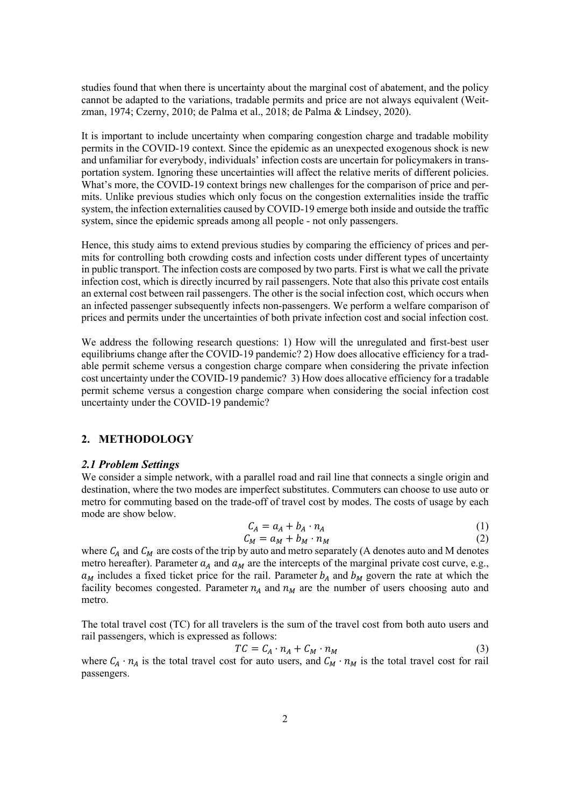studies found that when there is uncertainty about the marginal cost of abatement, and the policy cannot be adapted to the variations, tradable permits and price are not always equivalent (Weitzman, 1974; Czerny, 2010; de Palma et al., 2018; de Palma & Lindsey, 2020).

It is important to include uncertainty when comparing congestion charge and tradable mobility permits in the COVID-19 context. Since the epidemic as an unexpected exogenous shock is new and unfamiliar for everybody, individuals' infection costs are uncertain for policymakers in transportation system. Ignoring these uncertainties will affect the relative merits of different policies. What's more, the COVID-19 context brings new challenges for the comparison of price and permits. Unlike previous studies which only focus on the congestion externalities inside the traffic system, the infection externalities caused by COVID-19 emerge both inside and outside the traffic system, since the epidemic spreads among all people - not only passengers.

Hence, this study aims to extend previous studies by comparing the efficiency of prices and permits for controlling both crowding costs and infection costs under different types of uncertainty in public transport. The infection costs are composed by two parts. First is what we call the private infection cost, which is directly incurred by rail passengers. Note that also this private cost entails an external cost between rail passengers. The other is the social infection cost, which occurs when an infected passenger subsequently infects non-passengers. We perform a welfare comparison of prices and permits under the uncertainties of both private infection cost and social infection cost.

We address the following research questions: 1) How will the unregulated and first-best user equilibriums change after the COVID-19 pandemic? 2) How does allocative efficiency for a tradable permit scheme versus a congestion charge compare when considering the private infection cost uncertainty under the COVID-19 pandemic? 3) How does allocative efficiency for a tradable permit scheme versus a congestion charge compare when considering the social infection cost uncertainty under the COVID-19 pandemic?

# **2. METHODOLOGY**

#### *2.1 Problem Settings*

We consider a simple network, with a parallel road and rail line that connects a single origin and destination, where the two modes are imperfect substitutes. Commuters can choose to use auto or metro for commuting based on the trade-off of travel cost by modes. The costs of usage by each mode are show below.

$$
C_A = a_A + b_A \cdot n_A \tag{1}
$$

$$
C_M = a_M + b_M \cdot n_M \tag{2}
$$

where  $C_A$  and  $C_M$  are costs of the trip by auto and metro separately (A denotes auto and M denotes metro hereafter). Parameter  $a_A$  and  $a_M$  are the intercepts of the marginal private cost curve, e.g.,  $a_M$  includes a fixed ticket price for the rail. Parameter  $b_A$  and  $b_M$  govern the rate at which the facility becomes congested. Parameter  $n_A$  and  $n_M$  are the number of users choosing auto and metro.

The total travel cost (TC) for all travelers is the sum of the travel cost from both auto users and rail passengers, which is expressed as follows:

$$
TC = C_A \cdot n_A + C_M \cdot n_M \tag{3}
$$

where  $C_A \cdot n_A$  is the total travel cost for auto users, and  $C_M \cdot n_M$  is the total travel cost for rail passengers.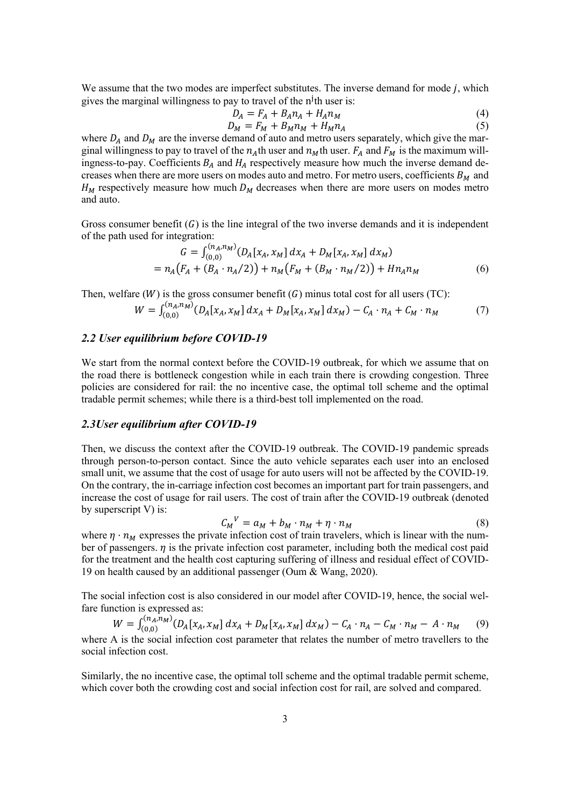We assume that the two modes are imperfect substitutes. The inverse demand for mode  $j$ , which gives the marginal willingness to pay to travel of the n<sup>j</sup>th user is:

$$
D_A = F_A + B_A n_A + H_A n_M
$$
  
\n
$$
D_M = F_M + B_M n_M + H_M n_A
$$
\n(4)

where  $D_A$  and  $D_M$  are the inverse demand of auto and metro users separately, which give the marginal willingness to pay to travel of the  $n_A$ th user and  $n_M$ th user.  $F_A$  and  $F_M$  is the maximum willingness-to-pay. Coefficients  $B_A$  and  $H_A$  respectively measure how much the inverse demand decreases when there are more users on modes auto and metro. For metro users, coefficients  $B_M$  and  $H_M$  respectively measure how much  $D_M$  decreases when there are more users on modes metro and auto.

Gross consumer benefit  $(G)$  is the line integral of the two inverse demands and it is independent of the path used for integration:

$$
G = \int_{(0,0)}^{(n_A, n_M)} (D_A[x_A, x_M] dx_A + D_M[x_A, x_M] dx_M)
$$
  
= 
$$
n_A (F_A + (B_A \cdot n_A/2)) + n_M (F_M + (B_M \cdot n_M/2)) + H n_A n_M
$$
 (6)

Then, welfare  $(W)$  is the gross consumer benefit  $(G)$  minus total cost for all users (TC):

$$
W = \int_{(0,0)}^{(n_A, n_M)} (D_A[x_A, x_M] \, dx_A + D_M[x_A, x_M] \, dx_M) - C_A \cdot n_A + C_M \cdot n_M \tag{7}
$$

#### *2.2 User equilibrium before COVID-19*

We start from the normal context before the COVID-19 outbreak, for which we assume that on the road there is bottleneck congestion while in each train there is crowding congestion. Three policies are considered for rail: the no incentive case, the optimal toll scheme and the optimal tradable permit schemes; while there is a third-best toll implemented on the road.

### *2.3User equilibrium after COVID-19*

Then, we discuss the context after the COVID-19 outbreak. The COVID-19 pandemic spreads through person-to-person contact. Since the auto vehicle separates each user into an enclosed small unit, we assume that the cost of usage for auto users will not be affected by the COVID-19. On the contrary, the in-carriage infection cost becomes an important part for train passengers, and increase the cost of usage for rail users. The cost of train after the COVID-19 outbreak (denoted by superscript V) is:

$$
C_M{}^V = a_M + b_M \cdot n_M + \eta \cdot n_M \tag{8}
$$

where  $\eta \cdot n_M$  expresses the private infection cost of train travelers, which is linear with the number of passengers.  $\eta$  is the private infection cost parameter, including both the medical cost paid for the treatment and the health cost capturing suffering of illness and residual effect of COVID-19 on health caused by an additional passenger (Oum & Wang, 2020).

The social infection cost is also considered in our model after COVID-19, hence, the social welfare function is expressed as:

$$
W = \int_{(0,0)}^{(n_A, n_M)} (D_A[x_A, x_M] dx_A + D_M[x_A, x_M] dx_M) - C_A \cdot n_A - C_M \cdot n_M - A \cdot n_M
$$
 (9)  
where A is the social infection cost parameter that relates the number of metro travels to the  
social infection cost.

Similarly, the no incentive case, the optimal toll scheme and the optimal tradable permit scheme, which cover both the crowding cost and social infection cost for rail, are solved and compared.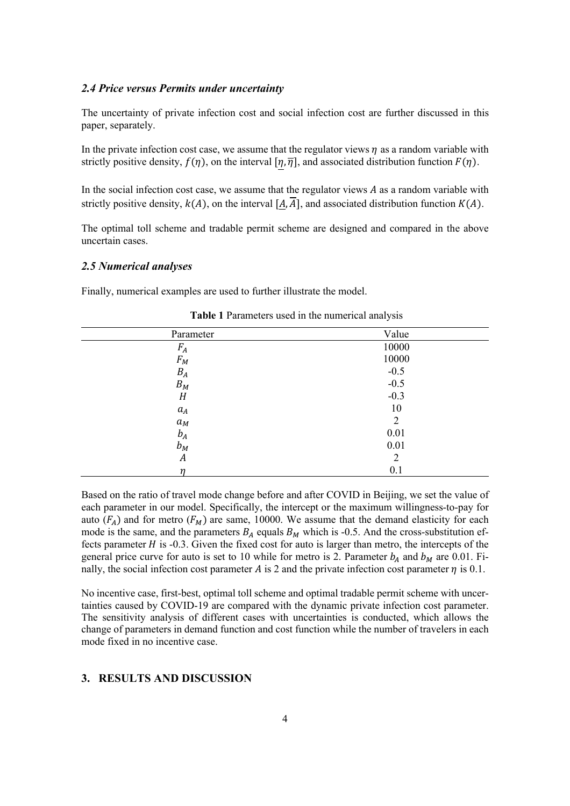### *2.4 Price versus Permits under uncertainty*

The uncertainty of private infection cost and social infection cost are further discussed in this paper, separately.

In the private infection cost case, we assume that the regulator views  $\eta$  as a random variable with strictly positive density,  $f(\eta)$ , on the interval  $[\eta, \overline{\eta}]$ , and associated distribution function  $F(\eta)$ .

In the social infection cost case, we assume that the regulator views  $A$  as a random variable with strictly positive density,  $k(A)$ , on the interval  $[A, \overline{A}]$ , and associated distribution function  $K(A)$ .

The optimal toll scheme and tradable permit scheme are designed and compared in the above uncertain cases.

### *2.5 Numerical analyses*

Finally, numerical examples are used to further illustrate the model.

| Parameter | Value          |
|-----------|----------------|
| $F_A$     | 10000          |
| $F_M$     | 10000          |
| $B_A$     | $-0.5$         |
| $B_M$     | $-0.5$         |
| H         | $-0.3$         |
| $a_A$     | 10             |
| $a_M$     | $\overline{2}$ |
| $b_A$     | 0.01           |
| $b_M$     | 0.01           |
| A         | $\overline{2}$ |
| n         | 0.1            |

**Table 1** Parameters used in the numerical analysis

Based on the ratio of travel mode change before and after COVID in Beijing, we set the value of each parameter in our model. Specifically, the intercept or the maximum willingness-to-pay for auto  $(F_A)$  and for metro  $(F_M)$  are same, 10000. We assume that the demand elasticity for each mode is the same, and the parameters  $B_A$  equals  $B_M$  which is -0.5. And the cross-substitution effects parameter  $H$  is -0.3. Given the fixed cost for auto is larger than metro, the intercepts of the general price curve for auto is set to 10 while for metro is 2. Parameter  $b_A$  and  $b_M$  are 0.01. Finally, the social infection cost parameter A is 2 and the private infection cost parameter  $\eta$  is 0.1.

No incentive case, first-best, optimal toll scheme and optimal tradable permit scheme with uncertainties caused by COVID-19 are compared with the dynamic private infection cost parameter. The sensitivity analysis of different cases with uncertainties is conducted, which allows the change of parameters in demand function and cost function while the number of travelers in each mode fixed in no incentive case.

# **3. RESULTS AND DISCUSSION**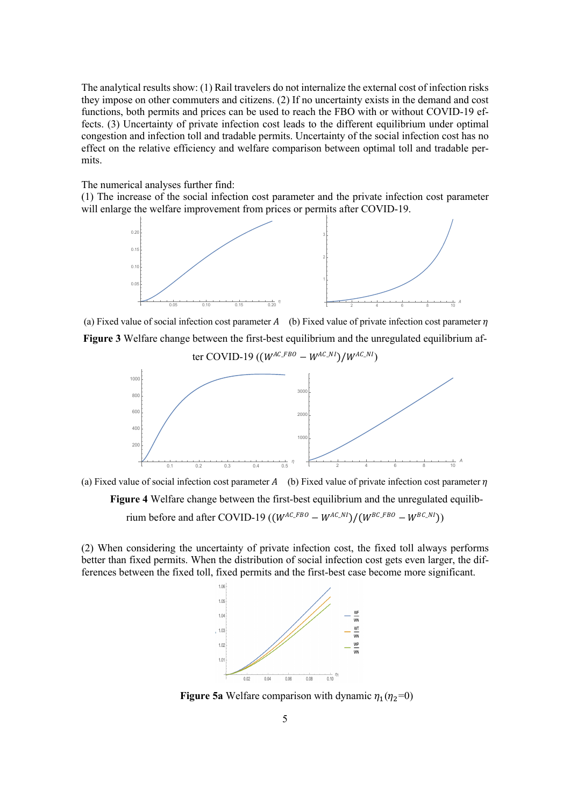The analytical results show: (1) Rail travelers do not internalize the external cost of infection risks they impose on other commuters and citizens. (2) If no uncertainty exists in the demand and cost functions, both permits and prices can be used to reach the FBO with or without COVID-19 effects. (3) Uncertainty of private infection cost leads to the different equilibrium under optimal congestion and infection toll and tradable permits. Uncertainty of the social infection cost has no effect on the relative efficiency and welfare comparison between optimal toll and tradable permits.

The numerical analyses further find:

(1) The increase of the social infection cost parameter and the private infection cost parameter will enlarge the welfare improvement from prices or permits after COVID-19.



(a) Fixed value of social infection cost parameter  $A$  (b) Fixed value of private infection cost parameter  $\eta$ 

**Figure 3** Welfare change between the first-best equilibrium and the unregulated equilibrium af-

ter COVID-19 ( $(W^{AC\_FBO} - W^{AC\_NI})/W^{AC\_NI}$ )  $\frac{1}{0.1}$  0.2 0.3 0.4 0.5  $\frac{1}{0.5}$ 200 400 600 800 1000 <sup>2</sup> <sup>4</sup> <sup>6</sup> <sup>8</sup> <sup>10</sup> <sup>A</sup> 1000 2000 3000



**Figure 4** Welfare change between the first-best equilibrium and the unregulated equilib-

rium before and after COVID-19 ( $(W^{AC\_FBO} - W^{AC\_NI})/(W^{BC\_FBO} - W^{BC\_NI})$ )

(2) When considering the uncertainty of private infection cost, the fixed toll always performs better than fixed permits. When the distribution of social infection cost gets even larger, the differences between the fixed toll, fixed permits and the first-best case become more significant.



**Figure 5a** Welfare comparison with dynamic  $\eta_1(\eta_2=0)$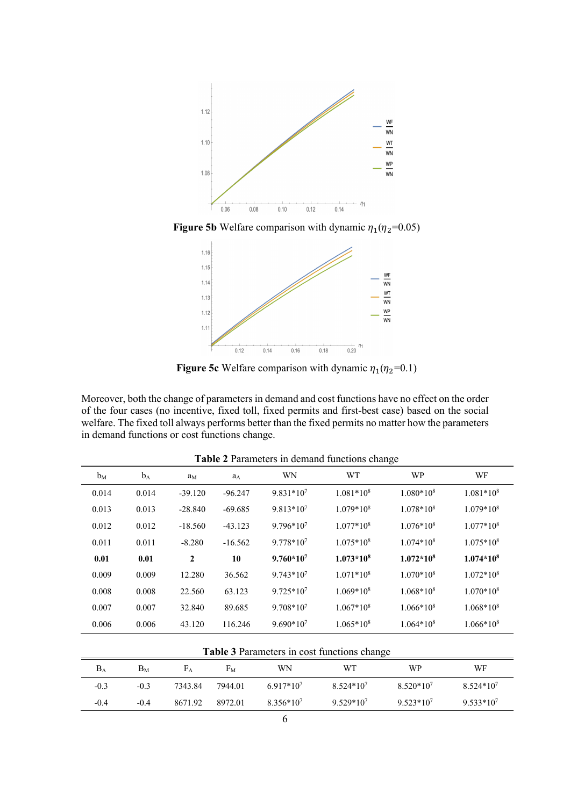

**Figure 5b** Welfare comparison with dynamic  $\eta_1(\eta_2=0.05)$ 



**Figure 5c** Welfare comparison with dynamic  $\eta_1(\eta_2=0.1)$ 

Moreover, both the change of parameters in demand and cost functions have no effect on the order of the four cases (no incentive, fixed toll, fixed permits and first-best case) based on the social welfare. The fixed toll always performs better than the fixed permits no matter how the parameters in demand functions or cost functions change.

| <b>Table 2</b> I alaments in definance functions enange |       |                |           |                |             |             |             |
|---------------------------------------------------------|-------|----------------|-----------|----------------|-------------|-------------|-------------|
| $b_M$                                                   | $b_A$ | a <sub>M</sub> | $a_A$     | WN             | <b>WT</b>   | <b>WP</b>   | WF          |
| 0.014                                                   | 0.014 | $-39.120$      | $-96.247$ | $9.831*10^{7}$ | $1.081*108$ | $1.080*108$ | $1.081*108$ |
| 0.013                                                   | 0.013 | $-28.840$      | $-69.685$ | $9.813*107$    | $1.079*108$ | $1.078*108$ | $1.079*108$ |
| 0.012                                                   | 0.012 | $-18.560$      | $-43.123$ | $9.796*10^{7}$ | $1.077*108$ | $1.076*108$ | $1.077*108$ |
| 0.011                                                   | 0.011 | $-8.280$       | $-16.562$ | $9.778*10^{7}$ | $1.075*108$ | $1.074*108$ | $1.075*108$ |
| 0.01                                                    | 0.01  | 2              | 10        | $9.760*107$    | $1.073*108$ | $1.072*108$ | $1.074*108$ |
| 0.009                                                   | 0.009 | 12.280         | 36.562    | $9.743*10^{7}$ | $1.071*108$ | $1.070*108$ | $1.072*108$ |
| 0.008                                                   | 0.008 | 22.560         | 63.123    | $9.725*10^7$   | $1.069*108$ | $1.068*108$ | $1.070*108$ |
| 0.007                                                   | 0.007 | 32.840         | 89.685    | $9.708*10^{7}$ | $1.067*108$ | $1.066*108$ | $1.068*108$ |
| 0.006                                                   | 0.006 | 43.120         | 116.246   | $9.690*10^{7}$ | $1.065*108$ | $1.064*108$ | $1.066*10*$ |
|                                                         |       |                |           |                |             |             |             |

**Table 2** Parameters in demand functions change

| <b>Table 3</b> Parameters in cost functions change |                |         |         |                |                |             |                |
|----------------------------------------------------|----------------|---------|---------|----------------|----------------|-------------|----------------|
| $B_A$                                              | B <sub>M</sub> | Fа      | Fм      | WN             | WТ             | WP          | WF             |
| $-0.3$                                             | $-0.3$         | 7343.84 | 7944.01 | $6.917*10^{7}$ | $8.524*107$    | $8.520*107$ | $8.524*107$    |
| $-0.4$                                             | $-0.4$         | 8671.92 | 8972.01 | $8.356*107$    | $9.529*10^{7}$ | $9.523*107$ | $9.533*10^{7}$ |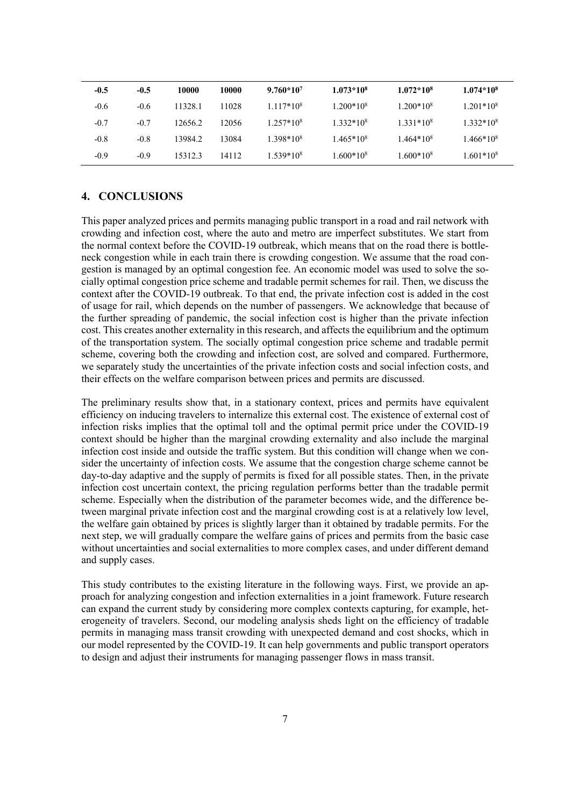| $-0.5$ | $-0.5$ | 10000   | 10000 | $9.760*107$           | $1.073*10*$ | $1.072*10*$ | $1.074*108$ |
|--------|--------|---------|-------|-----------------------|-------------|-------------|-------------|
| $-0.6$ | $-0.6$ | 11328.1 | 11028 | $1.117*108$           | $1.200*108$ | $1.200*108$ | $1.201*108$ |
| $-0.7$ | $-0.7$ | 12656.2 | 12056 | $1.257*108$           | $1.332*108$ | $1.331*108$ | $1.332*108$ |
| $-0.8$ | $-0.8$ | 13984.2 | 13084 | 1.398*10 <sup>8</sup> | $1.465*108$ | $1.464*108$ | $1.466*108$ |
| $-0.9$ | $-0.9$ | 15312.3 | 14112 | $1.539*108$           | $1.600*108$ | $1.600*108$ | $1.601*108$ |

# **4. CONCLUSIONS**

This paper analyzed prices and permits managing public transport in a road and rail network with crowding and infection cost, where the auto and metro are imperfect substitutes. We start from the normal context before the COVID-19 outbreak, which means that on the road there is bottleneck congestion while in each train there is crowding congestion. We assume that the road congestion is managed by an optimal congestion fee. An economic model was used to solve the socially optimal congestion price scheme and tradable permit schemes for rail. Then, we discuss the context after the COVID-19 outbreak. To that end, the private infection cost is added in the cost of usage for rail, which depends on the number of passengers. We acknowledge that because of the further spreading of pandemic, the social infection cost is higher than the private infection cost. This creates another externality in this research, and affects the equilibrium and the optimum of the transportation system. The socially optimal congestion price scheme and tradable permit scheme, covering both the crowding and infection cost, are solved and compared. Furthermore, we separately study the uncertainties of the private infection costs and social infection costs, and their effects on the welfare comparison between prices and permits are discussed.

The preliminary results show that, in a stationary context, prices and permits have equivalent efficiency on inducing travelers to internalize this external cost. The existence of external cost of infection risks implies that the optimal toll and the optimal permit price under the COVID-19 context should be higher than the marginal crowding externality and also include the marginal infection cost inside and outside the traffic system. But this condition will change when we consider the uncertainty of infection costs. We assume that the congestion charge scheme cannot be day-to-day adaptive and the supply of permits is fixed for all possible states. Then, in the private infection cost uncertain context, the pricing regulation performs better than the tradable permit scheme. Especially when the distribution of the parameter becomes wide, and the difference between marginal private infection cost and the marginal crowding cost is at a relatively low level, the welfare gain obtained by prices is slightly larger than it obtained by tradable permits. For the next step, we will gradually compare the welfare gains of prices and permits from the basic case without uncertainties and social externalities to more complex cases, and under different demand and supply cases.

This study contributes to the existing literature in the following ways. First, we provide an approach for analyzing congestion and infection externalities in a joint framework. Future research can expand the current study by considering more complex contexts capturing, for example, heterogeneity of travelers. Second, our modeling analysis sheds light on the efficiency of tradable permits in managing mass transit crowding with unexpected demand and cost shocks, which in our model represented by the COVID-19. It can help governments and public transport operators to design and adjust their instruments for managing passenger flows in mass transit.